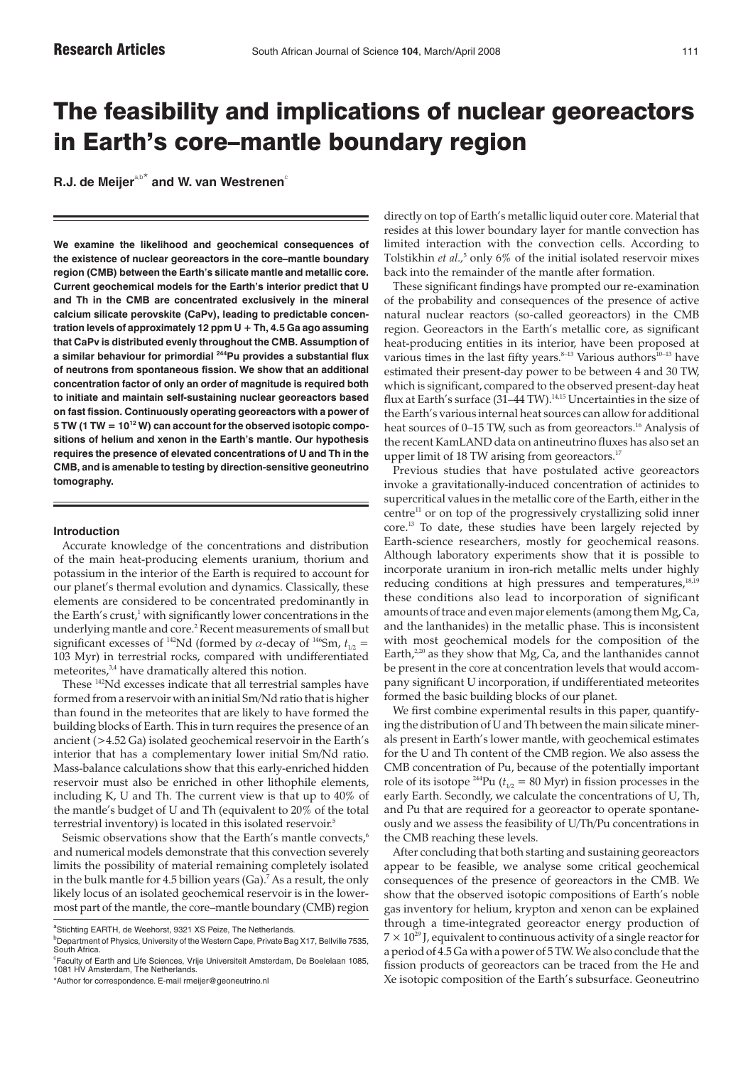# The feasibility and implications of nuclear georeactors in Earth's core–mantle boundary region

**R.J. de Meijer<sup>a,b\*</sup> and W. van Westrenen<sup>c</sup>** 

**We examine the likelihood and geochemical consequences of the existence of nuclear georeactors in the core–mantle boundary region (CMB) between the Earth's silicate mantle and metallic core. Current geochemical models for the Earth's interior predict that U and Th in the CMB are concentrated exclusively in the mineral calcium silicate perovskite (CaPv), leading to predictable concentration levels of approximately 12 ppm U + Th, 4.5 Ga ago assuming that CaPv is distributed evenly throughout the CMB. Assumption of a similar behaviour for primordial 244Pu provides a substantial flux of neutrons from spontaneous fission. We show that an additional concentration factor of only an order of magnitude is required both to initiate and maintain self-sustaining nuclear georeactors based on fast fission. Continuously operating georeactors with a power of 5 TW (1 TW = 1012 W) can account for the observed isotopic compositions of helium and xenon in the Earth's mantle. Our hypothesis requires the presence of elevated concentrations of U and Th in the CMB, and is amenable to testing by direction-sensitive geoneutrino tomography.**

## **Introduction**

Accurate knowledge of the concentrations and distribution of the main heat-producing elements uranium, thorium and potassium in the interior of the Earth is required to account for our planet's thermal evolution and dynamics. Classically, these elements are considered to be concentrated predominantly in the Earth's crust,<sup>1</sup> with significantly lower concentrations in the underlying mantle and core.2 Recent measurements of small but significant excesses of <sup>142</sup>Nd (formed by  $\alpha$ -decay of <sup>146</sup>Sm,  $t_{1/2}$  = 103 Myr) in terrestrial rocks, compared with undifferentiated meteorites,<sup>3,4</sup> have dramatically altered this notion.

These 142Nd excesses indicate that all terrestrial samples have formed from a reservoir with an initial Sm/Nd ratio that is higher than found in the meteorites that are likely to have formed the building blocks of Earth. This in turn requires the presence of an ancient (>4.52 Ga) isolated geochemical reservoir in the Earth's interior that has a complementary lower initial Sm/Nd ratio. Mass-balance calculations show that this early-enriched hidden reservoir must also be enriched in other lithophile elements, including K, U and Th. The current view is that up to 40% of the mantle's budget of U and Th (equivalent to 20% of the total terrestrial inventory) is located in this isolated reservoir.<sup>5</sup>

Seismic observations show that the Earth's mantle convects,<sup>6</sup> and numerical models demonstrate that this convection severely limits the possibility of material remaining completely isolated in the bulk mantle for 4.5 billion years  $(Ga)^7$ . As a result, the only likely locus of an isolated geochemical reservoir is in the lowermost part of the mantle, the core–mantle boundary (CMB) region

directly on top of Earth's metallic liquid outer core. Material that resides at this lower boundary layer for mantle convection has limited interaction with the convection cells. According to Tolstikhin *et al.*,<sup>5</sup> only 6% of the initial isolated reservoir mixes back into the remainder of the mantle after formation.

These significant findings have prompted our re-examination of the probability and consequences of the presence of active natural nuclear reactors (so-called georeactors) in the CMB region. Georeactors in the Earth's metallic core, as significant heat-producing entities in its interior, have been proposed at various times in the last fifty years. $8-13$  Various authors<sup>10-13</sup> have estimated their present-day power to be between 4 and 30 TW, which is significant, compared to the observed present-day heat flux at Earth's surface (31–44 TW).<sup>14,15</sup> Uncertainties in the size of the Earth's various internal heat sources can allow for additional heat sources of 0–15 TW, such as from georeactors.<sup>16</sup> Analysis of the recent KamLAND data on antineutrino fluxes has also set an upper limit of 18 TW arising from georeactors.<sup>17</sup>

Previous studies that have postulated active georeactors invoke a gravitationally-induced concentration of actinides to supercritical values in the metallic core of the Earth, either in the  $centre<sup>11</sup>$  or on top of the progressively crystallizing solid inner core.13 To date, these studies have been largely rejected by Earth-science researchers, mostly for geochemical reasons. Although laboratory experiments show that it is possible to incorporate uranium in iron-rich metallic melts under highly reducing conditions at high pressures and temperatures,<sup>18,19</sup> these conditions also lead to incorporation of significant amounts of trace and even major elements (among them Mg, Ca, and the lanthanides) in the metallic phase. This is inconsistent with most geochemical models for the composition of the Earth,<sup>2,20</sup> as they show that Mg, Ca, and the lanthanides cannot be present in the core at concentration levels that would accompany significant U incorporation, if undifferentiated meteorites formed the basic building blocks of our planet.

We first combine experimental results in this paper, quantifying the distribution of U and Th between the main silicate minerals present in Earth's lower mantle, with geochemical estimates for the U and Th content of the CMB region. We also assess the CMB concentration of Pu, because of the potentially important role of its isotope <sup>244</sup>Pu ( $t_{1/2}$  = 80 Myr) in fission processes in the early Earth. Secondly, we calculate the concentrations of U, Th, and Pu that are required for a georeactor to operate spontaneously and we assess the feasibility of U/Th/Pu concentrations in the CMB reaching these levels.

After concluding that both starting and sustaining georeactors appear to be feasible, we analyse some critical geochemical consequences of the presence of georeactors in the CMB. We show that the observed isotopic compositions of Earth's noble gas inventory for helium, krypton and xenon can be explained through a time-integrated georeactor energy production of  $7 \times 10^{29}$  J, equivalent to continuous activity of a single reactor for a period of 4.5 Ga with a power of 5 TW. We also conclude that the fission products of georeactors can be traced from the He and Xe isotopic composition of the Earth's subsurface. Geoneutrino

aStichting EARTH, de Weehorst, 9321 XS Peize, The Netherlands.

<sup>&</sup>lt;sup>b</sup>Department of Physics, University of the Western Cape, Private Bag X17, Bellville 7535, South Africa.

<sup>&</sup>lt;sup>c</sup>Faculty of Earth and Life Sciences, Vrije Universiteit Amsterdam, De Boelelaan 1085, 1081 HV Amsterdam, The Netherlands.

<sup>\*</sup>Author for correspondence. E-mail rmeijer@geoneutrino.nl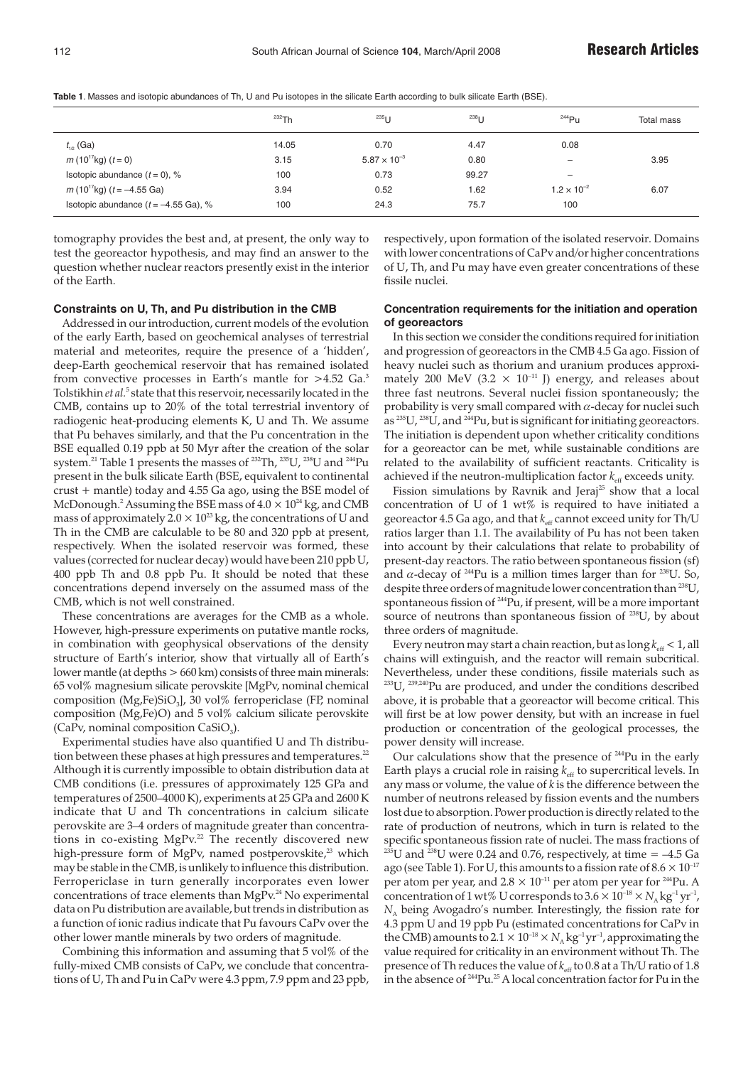**Table 1**. Masses and isotopic abundances of Th, U and Pu isotopes in the silicate Earth according to bulk silicate Earth (BSE).

|                                           | $232$ Th | $235$ U               | $238$ <sub>U</sub> | $244$ Pu                 | Total mass |
|-------------------------------------------|----------|-----------------------|--------------------|--------------------------|------------|
| $t_{1p}$ (Ga)                             | 14.05    | 0.70                  | 4.47               | 0.08                     |            |
| $m(10^{17}$ kg) $(t = 0)$                 | 3.15     | $5.87 \times 10^{-3}$ | 0.80               | $\overline{\phantom{0}}$ | 3.95       |
| Isotopic abundance $(t = 0)$ , %          | 100      | 0.73                  | 99.27              | -                        |            |
| m (10 <sup>17</sup> kg) ( $t = -4.55$ Ga) | 3.94     | 0.52                  | 1.62               | $1.2 \times 10^{-2}$     | 6.07       |
| Isotopic abundance $(t = -4.55$ Ga), %    | 100      | 24.3                  | 75.7               | 100                      |            |

tomography provides the best and, at present, the only way to test the georeactor hypothesis, and may find an answer to the question whether nuclear reactors presently exist in the interior of the Earth.

# **Constraints on U, Th, and Pu distribution in the CMB**

Addressed in our introduction, current models of the evolution of the early Earth, based on geochemical analyses of terrestrial material and meteorites, require the presence of a 'hidden', deep-Earth geochemical reservoir that has remained isolated from convective processes in Earth's mantle for >4.52 Ga.<sup>3</sup> Tolstikhin *et al.*<sup>5</sup> state that this reservoir, necessarily located in the CMB, contains up to 20% of the total terrestrial inventory of radiogenic heat-producing elements K, U and Th. We assume that Pu behaves similarly, and that the Pu concentration in the BSE equalled 0.19 ppb at 50 Myr after the creation of the solar system.21 Table 1 presents the masses of 232Th, 235U, 238U and 244Pu present in the bulk silicate Earth (BSE, equivalent to continental crust + mantle) today and 4.55 Ga ago, using the BSE model of McDonough.<sup>2</sup> Assuming the BSE mass of  $4.0 \times 10^{24}$  kg, and CMB mass of approximately  $2.0 \times 10^{23}$  kg, the concentrations of U and Th in the CMB are calculable to be 80 and 320 ppb at present, respectively. When the isolated reservoir was formed, these values (corrected for nuclear decay) would have been 210 ppb U, 400 ppb Th and 0.8 ppb Pu. It should be noted that these concentrations depend inversely on the assumed mass of the CMB, which is not well constrained.

These concentrations are averages for the CMB as a whole. However, high-pressure experiments on putative mantle rocks, in combination with geophysical observations of the density structure of Earth's interior, show that virtually all of Earth's lower mantle (at depths > 660 km) consists of three main minerals: 65 vol% magnesium silicate perovskite [MgPv, nominal chemical composition (Mg,Fe)SiO<sub>3</sub>], 30 vol% ferropericlase (FP, nominal composition (Mg,Fe)O) and 5 vol% calcium silicate perovskite (CaPv, nominal composition  $CaSiO<sub>3</sub>$ ).

Experimental studies have also quantified U and Th distribution between these phases at high pressures and temperatures. $^{22}$ Although it is currently impossible to obtain distribution data at CMB conditions (i.e. pressures of approximately 125 GPa and temperatures of 2500–4000 K), experiments at 25 GPa and 2600 K indicate that U and Th concentrations in calcium silicate perovskite are 3–4 orders of magnitude greater than concentrations in co-existing MgPv.<sup>22</sup> The recently discovered new high-pressure form of MgPv, named postperovskite,<sup>23</sup> which may be stable in the CMB, is unlikely to influence this distribution. Ferropericlase in turn generally incorporates even lower concentrations of trace elements than  $\text{MePv}^{24}$  No experimental data on Pu distribution are available, but trends in distribution as a function of ionic radius indicate that Pu favours CaPv over the other lower mantle minerals by two orders of magnitude.

Combining this information and assuming that 5 vol% of the fully-mixed CMB consists of CaPv, we conclude that concentrations of U, Th and Pu in CaPv were 4.3 ppm, 7.9 ppm and 23 ppb, respectively, upon formation of the isolated reservoir. Domains with lower concentrations of CaPv and/or higher concentrations of U, Th, and Pu may have even greater concentrations of these fissile nuclei.

# **Concentration requirements for the initiation and operation of georeactors**

In this section we consider the conditions required for initiation and progression of georeactors in the CMB 4.5 Ga ago. Fission of heavy nuclei such as thorium and uranium produces approximately 200 MeV (3.2  $\times$  10<sup>-11</sup> J) energy, and releases about three fast neutrons. Several nuclei fission spontaneously; the probability is very small compared with  $\alpha$ -decay for nuclei such as <sup>235</sup>U, <sup>238</sup>U, and <sup>244</sup>Pu, but is significant for initiating georeactors. The initiation is dependent upon whether criticality conditions for a georeactor can be met, while sustainable conditions are related to the availability of sufficient reactants. Criticality is achieved if the neutron-multiplication factor  $k_{\text{eff}}$  exceeds unity.

Fission simulations by Ravnik and Jeraj<sup>25</sup> show that a local concentration of U of 1 wt% is required to have initiated a georeactor 4.5 Ga ago, and that  $k_{\text{eff}}$  cannot exceed unity for Th/U ratios larger than 1.1. The availability of Pu has not been taken into account by their calculations that relate to probability of present-day reactors. The ratio between spontaneous fission (sf) and  $\alpha$ -decay of <sup>244</sup>Pu is a million times larger than for <sup>238</sup>U. So, despite three orders of magnitude lower concentration than<sup>238</sup>U, spontaneous fission of <sup>244</sup>Pu, if present, will be a more important source of neutrons than spontaneous fission of  $^{238}U$ , by about three orders of magnitude.

Every neutron may start a chain reaction, but as  $\log k_{\text{eff}}$  < 1, all chains will extinguish, and the reactor will remain subcritical. Nevertheless, under these conditions, fissile materials such as <sup>233</sup>U, <sup>239,240</sup>Pu are produced, and under the conditions described above, it is probable that a georeactor will become critical. This will first be at low power density, but with an increase in fuel production or concentration of the geological processes, the power density will increase.

Our calculations show that the presence of 244Pu in the early Earth plays a crucial role in raising  $k_{\text{eff}}$  to supercritical levels. In any mass or volume, the value of *k* is the difference between the number of neutrons released by fission events and the numbers lost due to absorption. Power production is directly related to the rate of production of neutrons, which in turn is related to the specific spontaneous fission rate of nuclei. The mass fractions of <sup>235</sup>U and <sup>238</sup>U were 0.24 and 0.76, respectively, at time =  $-4.5$  Ga ago (see Table 1). For U, this amounts to a fission rate of  $8.6 \times 10^{-17}$ per atom per year, and  $2.8 \times 10^{-11}$  per atom per year for <sup>244</sup>Pu. A concentration of 1 wt% U corresponds to  $3.6 \times 10^{-18} \times N_A \text{kg}^{-1} \text{yr}^{-1}$ ,  $N_A$  being Avogadro's number. Interestingly, the fission rate for 4.3 ppm U and 19 ppb Pu (estimated concentrations for CaPv in the CMB) amounts to  $2.1 \times 10^{-18} \times N_A$  kg<sup>-1</sup>yr<sup>-1</sup>, approximating the value required for criticality in an environment without Th. The presence of Th reduces the value of  $k_{\text{eff}}$  to 0.8 at a Th/U ratio of 1.8 in the absence of <sup>244</sup>Pu.<sup>25</sup> A local concentration factor for Pu in the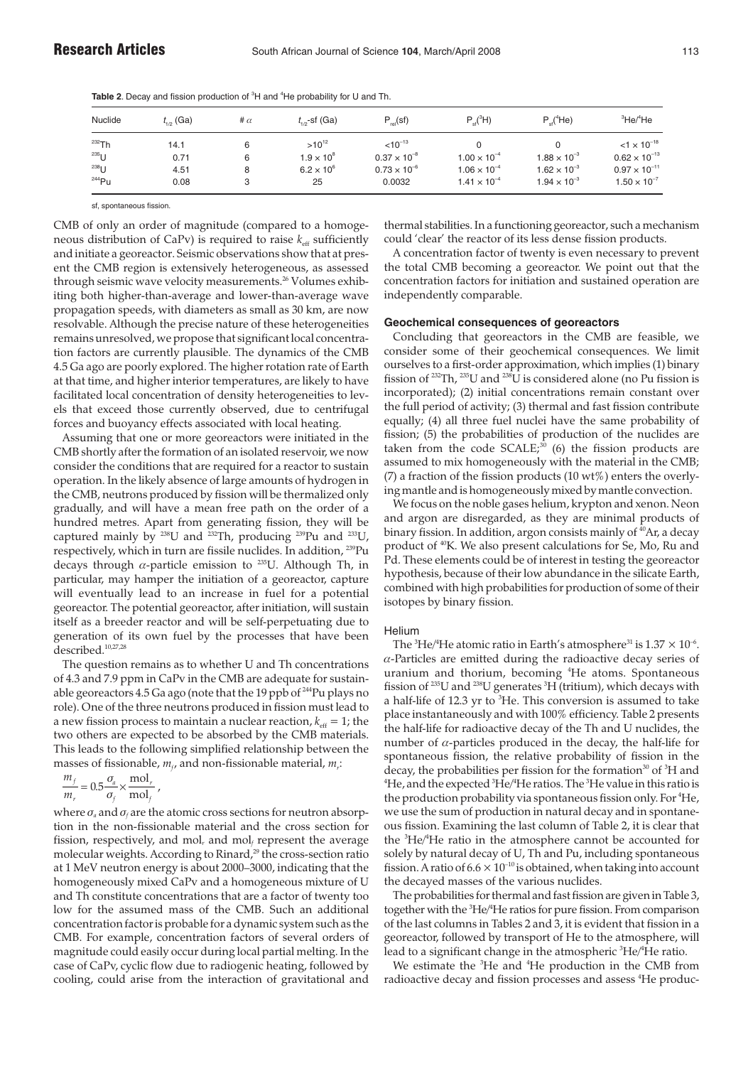Table 2. Decay and fission production of <sup>3</sup>H and <sup>4</sup>He probability for U and Th.

| Nuclide          | $t_{1/2}$ (Ga) | # $\alpha$ | $t_{1/2}$ -sf (Ga)  | $P_{rel}(sf)$         | $P_{\rm ef}({}^{3}H)$ | $P_{ol}$ <sup>4</sup> He) | ${}^{3}$ He/ ${}^{4}$ He |
|------------------|----------------|------------|---------------------|-----------------------|-----------------------|---------------------------|--------------------------|
| $232$ Th         | 14.1           |            | $>10^{12}$          | $< 10^{-13}$          |                       |                           | $< 1 \times 10^{-18}$    |
| <sup>235</sup> U | 0.71           |            | $1.9 \times 10^{8}$ | $0.37 \times 10^{-8}$ | $1.00 \times 10^{-4}$ | $1.88 \times 10^{-3}$     | $0.62 \times 10^{-13}$   |
| $^{238}$ U       | 4.51           |            | $6.2 \times 10^{6}$ | $0.73 \times 10^{-6}$ | $1.06 \times 10^{-4}$ | $1.62 \times 10^{-3}$     | $0.97 \times 10^{-11}$   |
| $244$ Pu         | 0.08           | 3          | 25                  | 0.0032                | $1.41 \times 10^{-4}$ | $1.94 \times 10^{-3}$     | $1.50 \times 10^{-7}$    |

sf, spontaneous fission.

CMB of only an order of magnitude (compared to a homogeneous distribution of CaPv) is required to raise  $k_{\text{eff}}$  sufficiently and initiate a georeactor. Seismic observations show that at present the CMB region is extensively heterogeneous, as assessed through seismic wave velocity measurements.<sup>26</sup> Volumes exhibiting both higher-than-average and lower-than-average wave propagation speeds, with diameters as small as 30 km, are now resolvable. Although the precise nature of these heterogeneities remains unresolved, we propose that significant local concentration factors are currently plausible. The dynamics of the CMB 4.5 Ga ago are poorly explored. The higher rotation rate of Earth at that time, and higher interior temperatures, are likely to have facilitated local concentration of density heterogeneities to levels that exceed those currently observed, due to centrifugal forces and buoyancy effects associated with local heating.

Assuming that one or more georeactors were initiated in the CMB shortly after the formation of an isolated reservoir, we now consider the conditions that are required for a reactor to sustain operation. In the likely absence of large amounts of hydrogen in the CMB, neutrons produced by fission will be thermalized only gradually, and will have a mean free path on the order of a hundred metres. Apart from generating fission, they will be captured mainly by <sup>238</sup>U and <sup>232</sup>Th, producing <sup>239</sup>Pu and <sup>233</sup>U, respectively, which in turn are fissile nuclides. In addition, 239Pu decays through  $\alpha$ -particle emission to <sup>235</sup>U. Although Th, in particular, may hamper the initiation of a georeactor, capture will eventually lead to an increase in fuel for a potential georeactor. The potential georeactor, after initiation, will sustain itself as a breeder reactor and will be self-perpetuating due to generation of its own fuel by the processes that have been described.<sup>10,27,28</sup>

The question remains as to whether U and Th concentrations of 4.3 and 7.9 ppm in CaPv in the CMB are adequate for sustainable georeactors 4.5 Ga ago (note that the 19 ppb of <sup>244</sup>Pu plays no role). One of the three neutrons produced in fission must lead to a new fission process to maintain a nuclear reaction,  $k_{\text{eff}} = 1$ ; the two others are expected to be absorbed by the CMB materials. This leads to the following simplified relationship between the masses of fissionable,  $m_f$ , and non-fissionable material,  $m_f$ :

$$
\frac{m_f}{m_r} = 0.5 \frac{\sigma_a}{\sigma_f} \times \frac{\text{mol}_r}{\text{mol}_f} ,
$$

where  $\sigma_a$  and  $\sigma_f$  are the atomic cross sections for neutron absorption in the non-fissionable material and the cross section for fission, respectively, and mol<sub>*r*</sub> and mol<sub>*f*</sub> represent the average molecular weights. According to Rinard,<sup>29</sup> the cross-section ratio at 1 MeV neutron energy is about 2000–3000, indicating that the homogeneously mixed CaPv and a homogeneous mixture of U and Th constitute concentrations that are a factor of twenty too low for the assumed mass of the CMB. Such an additional concentration factor is probable for a dynamic system such as the CMB. For example, concentration factors of several orders of magnitude could easily occur during local partial melting. In the case of CaPv, cyclic flow due to radiogenic heating, followed by cooling, could arise from the interaction of gravitational and

thermal stabilities. In a functioning georeactor, such a mechanism could 'clear' the reactor of its less dense fission products.

A concentration factor of twenty is even necessary to prevent the total CMB becoming a georeactor. We point out that the concentration factors for initiation and sustained operation are independently comparable.

## **Geochemical consequences of georeactors**

Concluding that georeactors in the CMB are feasible, we consider some of their geochemical consequences. We limit ourselves to a first-order approximation, which implies (1) binary fission of  $^{232}Th$ ,  $^{235}U$  and  $^{236}U$  is considered alone (no Pu fission is incorporated); (2) initial concentrations remain constant over the full period of activity; (3) thermal and fast fission contribute equally; (4) all three fuel nuclei have the same probability of fission; (5) the probabilities of production of the nuclides are taken from the code  $SCALE<sub>1</sub><sup>30</sup>$  (6) the fission products are assumed to mix homogeneously with the material in the CMB; (7) a fraction of the fission products (10 wt%) enters the overlying mantle and is homogeneously mixed by mantle convection.

We focus on the noble gases helium, krypton and xenon. Neon and argon are disregarded, as they are minimal products of binary fission. In addition, argon consists mainly of <sup>40</sup>Ar, a decay product of 40K. We also present calculations for Se, Mo, Ru and Pd. These elements could be of interest in testing the georeactor hypothesis, because of their low abundance in the silicate Earth, combined with high probabilities for production of some of their isotopes by binary fission.

### **Helium**

The  $^3{\rm He}/^4{\rm He}$  atomic ratio in Earth's atmosphere $^{31}$  is  $1.37\times 10^{-6}.$  $\alpha$ -Particles are emitted during the radioactive decay series of uranium and thorium, becoming <sup>4</sup> He atoms. Spontaneous fission of  $^{235}\rm{U}$  and  $^{238}\rm{U}$  generates  $^3\rm{H}$  (tritium), which decays with a half-life of 12.3 yr to <sup>3</sup>He. This conversion is assumed to take place instantaneously and with 100% efficiency. Table 2 presents the half-life for radioactive decay of the Th and U nuclides, the number of  $\alpha$ -particles produced in the decay, the half-life for spontaneous fission, the relative probability of fission in the decay, the probabilities per fission for the formation $^{30}$  of  $^3H$  and  ${}^4\textrm{He}$ , and the expected  ${}^3\textrm{He} / {}^4\textrm{He}$  ratios. The  ${}^3\textrm{He}$  value in this ratio is the production probability via spontaneous fission only. For <sup>4</sup>He, we use the sum of production in natural decay and in spontaneous fission. Examining the last column of Table 2, it is clear that the <sup>3</sup>He/<sup>4</sup>He ratio in the atmosphere cannot be accounted for solely by natural decay of U, Th and Pu, including spontaneous fission. A ratio of  $6.6 \times 10^{-10}$  is obtained, when taking into account the decayed masses of the various nuclides.

The probabilities for thermal and fast fission are given in Table 3, together with the <sup>3</sup>He/<sup>4</sup>He ratios for pure fission. From comparison of the last columns in Tables 2 and 3, it is evident that fission in a georeactor, followed by transport of He to the atmosphere, will lead to a significant change in the atmospheric <sup>3</sup>He/<sup>4</sup>He ratio.

We estimate the <sup>3</sup>He and <sup>4</sup>He production in the CMB from radioactive decay and fission processes and assess <sup>4</sup>He produc-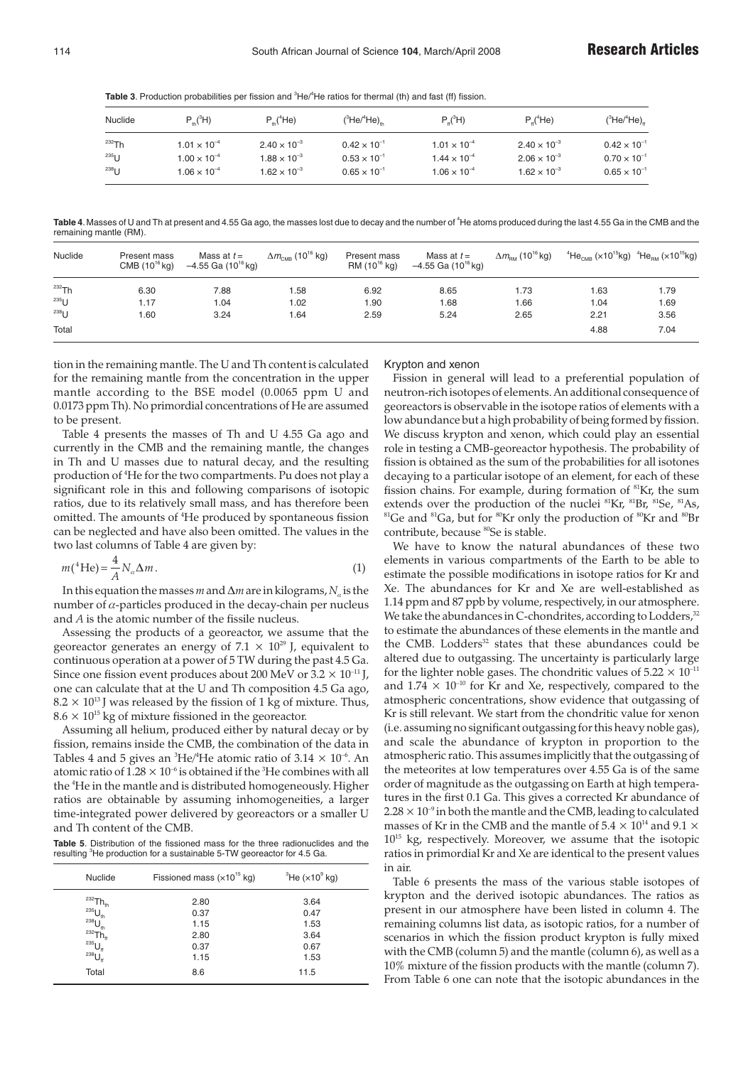Table 3. Production probabilities per fission and <sup>3</sup>He/<sup>4</sup>He ratios for thermal (th) and fast (ff) fission.

| Nuclide            | $P_{\mu}({}^{3}H)$    | $P_{\mu}$ ( <sup>4</sup> He) | $(^3$ He/ $^4$ He)    | $P_u(^3H)$            | $P_u(^4He)$           | $(^3$ He/ $^4$ He) $^{\circ}_{\scriptscriptstyle{H}}$ |
|--------------------|-----------------------|------------------------------|-----------------------|-----------------------|-----------------------|-------------------------------------------------------|
| $232$ Th           | $1.01 \times 10^{-4}$ | $2.40 \times 10^{-3}$        | $0.42 \times 10^{-1}$ | $1.01 \times 10^{-4}$ | $2.40 \times 10^{-3}$ | $0.42 \times 10^{-1}$                                 |
| $^{235}$ U         | $1.00 \times 10^{-4}$ | $1.88 \times 10^{-3}$        | $0.53 \times 10^{-1}$ | $1.44 \times 10^{-4}$ | $2.06 \times 10^{-3}$ | $0.70 \times 10^{-1}$                                 |
| $^{238}$ $\vert$ 1 | $1.06 \times 10^{-4}$ | $1.62 \times 10^{-3}$        | $0.65 \times 10^{-1}$ | $1.06 \times 10^{-4}$ | $1.62 \times 10^{-3}$ | $0.65 \times 10^{-1}$                                 |

Table 4. Masses of U and Th at present and 4.55 Ga ago, the masses lost due to decay and the number of <sup>4</sup>He atoms produced during the last 4.55 Ga in the CMB and the remaining mantle (RM).

| Nuclide    | Present mass<br>$CMB (10^{16}$ kg) | Mass at $t =$<br>$-4.55$ Ga (10 <sup>16</sup> kg) | $\Delta m_{\text{\tiny CMB}}$ (10 $^{16}$ kg) | Present mass<br>$RM(10^{16}$ kg) | Mass at $t =$<br>$-4.55$ Ga (10 <sup>16</sup> kg) | $\Delta m_{\text{\tiny{BM}}}$ (10 <sup>16</sup> kg) | $^{4}$ He <sub>CMB</sub> (x10 <sup>15</sup> kg) $^{4}$ He <sub>BM</sub> (x10 <sup>15</sup> kg) |      |
|------------|------------------------------------|---------------------------------------------------|-----------------------------------------------|----------------------------------|---------------------------------------------------|-----------------------------------------------------|------------------------------------------------------------------------------------------------|------|
| $232$ Th   | 6.30                               | 7.88                                              | i .58                                         | 6.92                             | 8.65                                              | 1.73                                                | 1.63                                                                                           | 1.79 |
| $^{235}$ U | 1.17                               | 1.04                                              | 1.02                                          | 1.90                             | 1.68                                              | 1.66                                                | 1.04                                                                                           | 1.69 |
| $^{238}$ U | 1.60                               | 3.24                                              | .64                                           | 2.59                             | 5.24                                              | 2.65                                                | 2.21                                                                                           | 3.56 |
| Total      |                                    |                                                   |                                               |                                  |                                                   |                                                     | 4.88                                                                                           | 7.04 |

tion in the remaining mantle. The U and Th content is calculated for the remaining mantle from the concentration in the upper mantle according to the BSE model (0.0065 ppm U and 0.0173 ppm Th). No primordial concentrations of He are assumed to be present.

Table 4 presents the masses of Th and U 4.55 Ga ago and currently in the CMB and the remaining mantle, the changes in Th and U masses due to natural decay, and the resulting production of <sup>4</sup> He for the two compartments. Pu does not play a significant role in this and following comparisons of isotopic ratios, due to its relatively small mass, and has therefore been omitted. The amounts of <sup>4</sup> He produced by spontaneous fission can be neglected and have also been omitted. The values in the two last columns of Table 4 are given by:

$$
m(^{4}\text{He}) = \frac{4}{A} N_{\alpha} \Delta m. \tag{1}
$$

In this equation the masses*m*and∆*m*are in kilograms,*N*<sup>α</sup> is the number of  $\alpha$ -particles produced in the decay-chain per nucleus and *A* is the atomic number of the fissile nucleus.

Assessing the products of a georeactor, we assume that the georeactor generates an energy of  $7.1 \times 10^{29}$  J, equivalent to continuous operation at a power of 5 TW during the past 4.5 Ga. Since one fission event produces about 200 MeV or  $3.2 \times 10^{-11}$  J, one can calculate that at the U and Th composition 4.5 Ga ago,  $8.2 \times 10^{13}$  J was released by the fission of 1 kg of mixture. Thus,  $8.6 \times 10^{15}$  kg of mixture fissioned in the georeactor.

Assuming all helium, produced either by natural decay or by fission, remains inside the CMB, the combination of the data in Tables 4 and 5 gives an  ${}^{3}\text{He}/{}^{4}\text{He}$  atomic ratio of 3.14  $\times$  10<sup>-6</sup>. An atomic ratio of  $1.28 \times 10^{\text{-6}}$  is obtained if the  $^3$ He combines with all the <sup>4</sup> He in the mantle and is distributed homogeneously. Higher ratios are obtainable by assuming inhomogeneities, a larger time-integrated power delivered by georeactors or a smaller U and Th content of the CMB.

**Table 5**. Distribution of the fissioned mass for the three radionuclides and the resulting <sup>3</sup>He production for a sustainable 5-TW georeactor for 4.5 Ga.

| <b>Nuclide</b>        | Fissioned mass $(x10^{15}$ kg) | $^3$ He ( $\times$ 10 $^9$ kg) |
|-----------------------|--------------------------------|--------------------------------|
| $^{232}Th_{th}$       | 2.80                           | 3.64                           |
| $^{235}U_{th}$        | 0.37                           | 0.47                           |
| $^{238}U_{\text{th}}$ | 1.15                           | 1.53                           |
| $232$ Th <sub>#</sub> | 2.80                           | 3.64                           |
| $^{235}U_{\text{ff}}$ | 0.37                           | 0.67                           |
| $^{238}U_{\text{ff}}$ | 1.15                           | 1.53                           |
| Total                 | 8.6                            | 11.5                           |

## Krypton and xenon

Fission in general will lead to a preferential population of neutron-rich isotopes of elements. An additional consequence of georeactors is observable in the isotope ratios of elements with a low abundance but a high probability of being formed by fission. We discuss krypton and xenon, which could play an essential role in testing a CMB-georeactor hypothesis. The probability of fission is obtained as the sum of the probabilities for all isotones decaying to a particular isotope of an element, for each of these fission chains. For example, during formation of 81Kr, the sum extends over the production of the nuclei <sup>81</sup>Kr, <sup>81</sup>Br, <sup>81</sup>Se, <sup>81</sup>As,  ${}^{81}$ Ge and  ${}^{81}$ Ga, but for  ${}^{80}$ Kr only the production of  ${}^{80}$ Kr and  ${}^{80}$ Br contribute, because <sup>80</sup>Se is stable.

We have to know the natural abundances of these two elements in various compartments of the Earth to be able to estimate the possible modifications in isotope ratios for Kr and Xe. The abundances for Kr and Xe are well-established as 1.14 ppm and 87 ppb by volume, respectively, in our atmosphere. We take the abundances in C-chondrites, according to Lodders,<sup>32</sup> to estimate the abundances of these elements in the mantle and the CMB. Lodders<sup>32</sup> states that these abundances could be altered due to outgassing. The uncertainty is particularly large for the lighter noble gases. The chondritic values of  $5.22 \times 10^{-11}$ and  $1.74 \times 10^{-10}$  for Kr and Xe, respectively, compared to the atmospheric concentrations, show evidence that outgassing of Kr is still relevant. We start from the chondritic value for xenon (i.e. assuming no significant outgassing for this heavy noble gas), and scale the abundance of krypton in proportion to the atmospheric ratio. This assumes implicitly that the outgassing of the meteorites at low temperatures over 4.55 Ga is of the same order of magnitude as the outgassing on Earth at high temperatures in the first 0.1 Ga. This gives a corrected Kr abundance of  $2.28 \times 10^{-9}$  in both the mantle and the CMB, leading to calculated masses of Kr in the CMB and the mantle of  $5.4 \times 10^{14}$  and  $9.1 \times$  $10^{15}$  kg, respectively. Moreover, we assume that the isotopic ratios in primordial Kr and Xe are identical to the present values in air.

Table 6 presents the mass of the various stable isotopes of krypton and the derived isotopic abundances. The ratios as present in our atmosphere have been listed in column 4. The remaining columns list data, as isotopic ratios, for a number of scenarios in which the fission product krypton is fully mixed with the CMB (column 5) and the mantle (column 6), as well as a 10% mixture of the fission products with the mantle (column 7). From Table 6 one can note that the isotopic abundances in the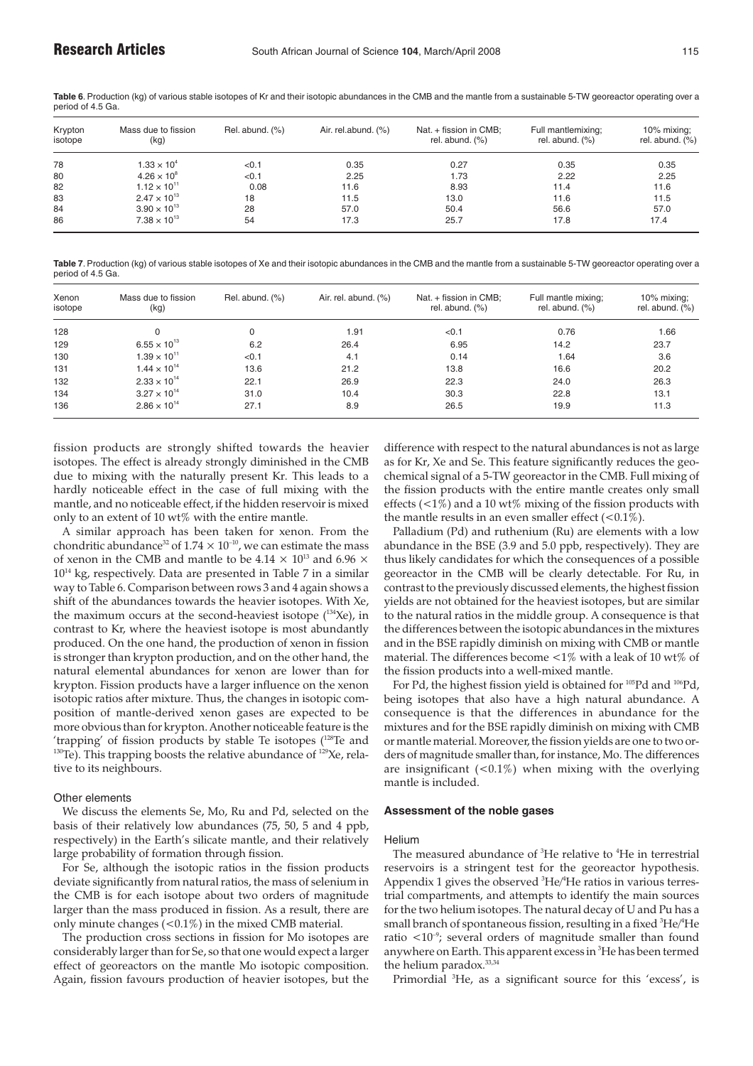**Table 6**. Production (kg) of various stable isotopes of Kr and their isotopic abundances in the CMB and the mantle from a sustainable 5-TW georeactor operating over a period of 4.5 Ga.

| Krypton<br>isotope | Mass due to fission<br>(kg) | Rel. abund. (%) | Air. rel.abund. (%) | Nat. + fission in CMB;<br>rel. abund. $(\%)$ | Full mantlemixing;<br>rel. abund. $(\%)$ | 10% mixing:<br>rel. abund. $(\%)$ |
|--------------------|-----------------------------|-----------------|---------------------|----------------------------------------------|------------------------------------------|-----------------------------------|
| 78                 | $1.33 \times 10^{4}$        | < 0.1           | 0.35                | 0.27                                         | 0.35                                     | 0.35                              |
| 80                 | $4.26 \times 10^{8}$        | < 0.1           | 2.25                | 1.73                                         | 2.22                                     | 2.25                              |
| 82                 | $1.12 \times 10^{11}$       | 0.08            | 11.6                | 8.93                                         | 11.4                                     | 11.6                              |
| 83                 | $2.47 \times 10^{13}$       | 18              | 11.5                | 13.0                                         | 11.6                                     | 11.5                              |
| 84                 | $3.90 \times 10^{13}$       | 28              | 57.0                | 50.4                                         | 56.6                                     | 57.0                              |
| 86                 | $7.38 \times 10^{13}$       | 54              | 17.3                | 25.7                                         | 17.8                                     | 17.4                              |

**Table 7**. Production (kg) of various stable isotopes of Xe and their isotopic abundances in the CMB and the mantle from a sustainable 5-TW georeactor operating over a period of 4.5 Ga.

| Xenon<br>isotope | Mass due to fission<br>(kg) | Rel. abund. (%) | Air. rel. abund. $(\%)$ | Nat. + fission in CMB;<br>rel. abund. $(\%)$ | Full mantle mixing;<br>rel. abund. $(\%)$ | 10% mixing:<br>rel. abund. $(\%)$ |
|------------------|-----------------------------|-----------------|-------------------------|----------------------------------------------|-------------------------------------------|-----------------------------------|
| 128              | 0                           |                 | 1.91                    | < 0.1                                        | 0.76                                      | 1.66                              |
| 129              | $6.55 \times 10^{13}$       | 6.2             | 26.4                    | 6.95                                         | 14.2                                      | 23.7                              |
| 130              | $1.39 \times 10^{11}$       | < 0.1           | 4.1                     | 0.14                                         | 1.64                                      | 3.6                               |
| 131              | $1.44 \times 10^{14}$       | 13.6            | 21.2                    | 13.8                                         | 16.6                                      | 20.2                              |
| 132              | $2.33 \times 10^{14}$       | 22.1            | 26.9                    | 22.3                                         | 24.0                                      | 26.3                              |
| 134              | $3.27 \times 10^{14}$       | 31.0            | 10.4                    | 30.3                                         | 22.8                                      | 13.1                              |
| 136              | $2.86 \times 10^{14}$       | 27.1            | 8.9                     | 26.5                                         | 19.9                                      | 11.3                              |

fission products are strongly shifted towards the heavier isotopes. The effect is already strongly diminished in the CMB due to mixing with the naturally present Kr. This leads to a hardly noticeable effect in the case of full mixing with the mantle, and no noticeable effect, if the hidden reservoir is mixed only to an extent of 10 wt% with the entire mantle.

A similar approach has been taken for xenon. From the chondritic abundance<sup>32</sup> of  $1.74 \times 10^{-10}$ , we can estimate the mass of xenon in the CMB and mantle to be 4.14  $\times$   $10^{13}$  and 6.96  $\times$  $10^{14}$  kg, respectively. Data are presented in Table 7 in a similar way to Table 6. Comparison between rows 3 and 4 again shows a shift of the abundances towards the heavier isotopes. With Xe, the maximum occurs at the second-heaviest isotope  $(^{134}Xe)$ , in contrast to Kr, where the heaviest isotope is most abundantly produced. On the one hand, the production of xenon in fission is stronger than krypton production, and on the other hand, the natural elemental abundances for xenon are lower than for krypton. Fission products have a larger influence on the xenon isotopic ratios after mixture. Thus, the changes in isotopic composition of mantle-derived xenon gases are expected to be more obvious than for krypton. Another noticeable feature is the 'trapping' of fission products by stable Te isotopes (<sup>128</sup>Te and  $130$ Te). This trapping boosts the relative abundance of  $129$ Xe, relative to its neighbours.

# Other elements

We discuss the elements Se, Mo, Ru and Pd, selected on the basis of their relatively low abundances (75, 50, 5 and 4 ppb, respectively) in the Earth's silicate mantle, and their relatively large probability of formation through fission.

For Se, although the isotopic ratios in the fission products deviate significantly from natural ratios, the mass of selenium in the CMB is for each isotope about two orders of magnitude larger than the mass produced in fission. As a result, there are only minute changes  $\left($  < 0.1%) in the mixed CMB material.

The production cross sections in fission for Mo isotopes are considerably larger than for Se, so that one would expect a larger effect of georeactors on the mantle Mo isotopic composition. Again, fission favours production of heavier isotopes, but the

difference with respect to the natural abundances is not as large as for Kr, Xe and Se. This feature significantly reduces the geochemical signal of a 5-TW georeactor in the CMB. Full mixing of the fission products with the entire mantle creates only small effects  $\left($  <1%) and a 10 wt% mixing of the fission products with the mantle results in an even smaller effect  $(<0.1\%)$ .

Palladium (Pd) and ruthenium (Ru) are elements with a low abundance in the BSE (3.9 and 5.0 ppb, respectively). They are thus likely candidates for which the consequences of a possible georeactor in the CMB will be clearly detectable. For Ru, in contrast to the previously discussed elements, the highest fission yields are not obtained for the heaviest isotopes, but are similar to the natural ratios in the middle group. A consequence is that the differences between the isotopic abundances in the mixtures and in the BSE rapidly diminish on mixing with CMB or mantle material. The differences become  $\langle 1\%$  with a leak of 10 wt% of the fission products into a well-mixed mantle.

For Pd, the highest fission yield is obtained for <sup>105</sup>Pd and <sup>106</sup>Pd, being isotopes that also have a high natural abundance. A consequence is that the differences in abundance for the mixtures and for the BSE rapidly diminish on mixing with CMB or mantle material. Moreover, the fission yields are one to two orders of magnitude smaller than, for instance, Mo. The differences are insignificant  $(<0.1\%)$  when mixing with the overlying mantle is included.

# **Assessment of the noble gases**

#### Helium

The measured abundance of <sup>3</sup>He relative to <sup>4</sup>He in terrestrial reservoirs is a stringent test for the georeactor hypothesis. Appendix 1 gives the observed <sup>3</sup>He/<sup>4</sup>He ratios in various terrestrial compartments, and attempts to identify the main sources for the two helium isotopes. The natural decay of U and Pu has a small branch of spontaneous fission, resulting in a fixed  $^3{\rm He}/^4{\rm He}$ ratio  $\langle 10^{-9}$ ; several orders of magnitude smaller than found anywhere on Earth. This apparent excess in <sup>3</sup>He has been termed the helium paradox.<sup>33,34</sup>

Primordial <sup>3</sup>He, as a significant source for this 'excess', is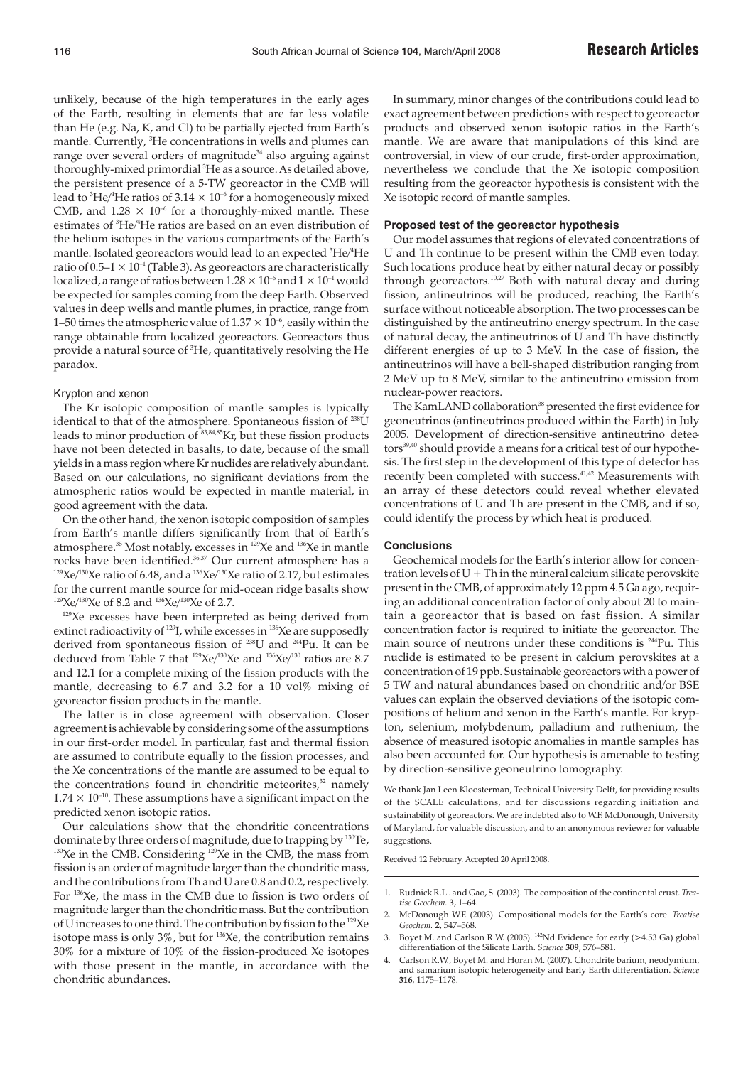unlikely, because of the high temperatures in the early ages of the Earth, resulting in elements that are far less volatile than He (e.g. Na, K, and Cl) to be partially ejected from Earth's mantle. Currently, <sup>3</sup>He concentrations in wells and plumes can range over several orders of magnitude<sup>34</sup> also arguing against thoroughly-mixed primordial <sup>3</sup>He as a source. As detailed above, the persistent presence of a 5-TW georeactor in the CMB will lead to  $^3{\rm He}/^4{\rm He}$  ratios of 3.14  $\times$  10<sup>-6</sup> for a homogeneously mixed CMB, and  $1.28 \times 10^{-6}$  for a thoroughly-mixed mantle. These estimates of <sup>3</sup>He/<sup>4</sup>He ratios are based on an even distribution of the helium isotopes in the various compartments of the Earth's mantle. Isolated georeactors would lead to an expected  $^3{\rm He}/^4{\rm He}$ ratio of  $0.5-1 \times 10^{-1}$  (Table 3). As georeactors are characteristically localized, a range of ratios between  $1.28 \times 10^{-6}$  and  $1 \times 10^{-1}$  would be expected for samples coming from the deep Earth. Observed values in deep wells and mantle plumes, in practice, range from 1–50 times the atmospheric value of  $1.37 \times 10^{-6}$ , easily within the range obtainable from localized georeactors. Georeactors thus provide a natural source of <sup>3</sup>He, quantitatively resolving the He paradox.

# Krypton and xenon

The Kr isotopic composition of mantle samples is typically identical to that of the atmosphere. Spontaneous fission of <sup>238</sup>U leads to minor production of 83,84,85Kr, but these fission products have not been detected in basalts, to date, because of the small yields in a mass region where Kr nuclides are relatively abundant. Based on our calculations, no significant deviations from the atmospheric ratios would be expected in mantle material, in good agreement with the data.

On the other hand, the xenon isotopic composition of samples from Earth's mantle differs significantly from that of Earth's atmosphere.<sup>35</sup> Most notably, excesses in <sup>129</sup>Xe and <sup>136</sup>Xe in mantle rocks have been identified.<sup>36,37</sup> Our current atmosphere has a <sup>129</sup>Xe/<sup>130</sup>Xe ratio of 6.48, and a <sup>136</sup>Xe/<sup>130</sup>Xe ratio of 2.17, but estimates for the current mantle source for mid-ocean ridge basalts show  $129$ Xe/ $130$ Xe of 8.2 and  $136$ Xe/ $130$ Xe of 2.7.

<sup>129</sup>Xe excesses have been interpreted as being derived from extinct radioactivity of <sup>129</sup>I, while excesses in <sup>136</sup>Xe are supposedly derived from spontaneous fission of 238U and 244Pu. It can be deduced from Table 7 that  $^{129}Xe^{130}Xe$  and  $^{136}Xe^{130}$  ratios are 8.7 and 12.1 for a complete mixing of the fission products with the mantle, decreasing to 6.7 and 3.2 for a 10 vol% mixing of georeactor fission products in the mantle.

The latter is in close agreement with observation. Closer agreement is achievable by considering some of the assumptions in our first-order model. In particular, fast and thermal fission are assumed to contribute equally to the fission processes, and the Xe concentrations of the mantle are assumed to be equal to the concentrations found in chondritic meteorites, $32$  namely  $1.74 \times 10^{-10}$ . These assumptions have a significant impact on the predicted xenon isotopic ratios.

Our calculations show that the chondritic concentrations dominate by three orders of magnitude, due to trapping by 130Te,  $130Xe$  in the CMB. Considering  $129Xe$  in the CMB, the mass from fission is an order of magnitude larger than the chondritic mass, and the contributions from Th and U are 0.8 and 0.2, respectively. For 136Xe, the mass in the CMB due to fission is two orders of magnitude larger than the chondritic mass. But the contribution of U increases to one third. The contribution by fission to the 129Xe isotope mass is only  $3\%$ , but for  $^{136}$ Xe, the contribution remains 30% for a mixture of 10% of the fission-produced Xe isotopes with those present in the mantle, in accordance with the chondritic abundances.

In summary, minor changes of the contributions could lead to exact agreement between predictions with respect to georeactor products and observed xenon isotopic ratios in the Earth's mantle. We are aware that manipulations of this kind are controversial, in view of our crude, first-order approximation, nevertheless we conclude that the Xe isotopic composition resulting from the georeactor hypothesis is consistent with the Xe isotopic record of mantle samples.

## **Proposed test of the georeactor hypothesis**

Our model assumes that regions of elevated concentrations of U and Th continue to be present within the CMB even today. Such locations produce heat by either natural decay or possibly through georeactors.<sup>10,27</sup> Both with natural decay and during fission, antineutrinos will be produced, reaching the Earth's surface without noticeable absorption. The two processes can be distinguished by the antineutrino energy spectrum. In the case of natural decay, the antineutrinos of U and Th have distinctly different energies of up to 3 MeV. In the case of fission, the antineutrinos will have a bell-shaped distribution ranging from 2 MeV up to 8 MeV, similar to the antineutrino emission from nuclear-power reactors.

The KamLAND collaboration<sup>38</sup> presented the first evidence for geoneutrinos (antineutrinos produced within the Earth) in July 2005. Development of direction-sensitive antineutrino detectors<sup>39,40</sup> should provide a means for a critical test of our hypothesis. The first step in the development of this type of detector has recently been completed with success.<sup>41,42</sup> Measurements with an array of these detectors could reveal whether elevated concentrations of U and Th are present in the CMB, and if so, could identify the process by which heat is produced.

## **Conclusions**

Geochemical models for the Earth's interior allow for concentration levels of  $U + Th$  in the mineral calcium silicate perovskite present in the CMB, of approximately 12 ppm 4.5 Ga ago, requiring an additional concentration factor of only about 20 to maintain a georeactor that is based on fast fission. A similar concentration factor is required to initiate the georeactor. The main source of neutrons under these conditions is <sup>244</sup>Pu. This nuclide is estimated to be present in calcium perovskites at a concentration of 19 ppb. Sustainable georeactors with a power of 5 TW and natural abundances based on chondritic and/or BSE values can explain the observed deviations of the isotopic compositions of helium and xenon in the Earth's mantle. For krypton, selenium, molybdenum, palladium and ruthenium, the absence of measured isotopic anomalies in mantle samples has also been accounted for. Our hypothesis is amenable to testing by direction-sensitive geoneutrino tomography.

We thank Jan Leen Kloosterman, Technical University Delft, for providing results of the SCALE calculations, and for discussions regarding initiation and sustainability of georeactors. We are indebted also to W.F. McDonough, University of Maryland, for valuable discussion, and to an anonymous reviewer for valuable suggestions.

Received 12 February. Accepted 20 April 2008.

<sup>1.</sup> Rudnick R.L . and Gao, S. (2003). The composition of the continental crust. *Treatise Geochem.* **3**, 1–64.

<sup>2.</sup> McDonough W.F. (2003). Compositional models for the Earth's core. *Treatise Geochem.* **2**, 547–568.

Boyet M. and Carlson R.W. (2005).  $^{142}$ Nd Evidence for early (>4.53 Ga) global differentiation of the Silicate Earth. *Science* **309**, 576–581.

<sup>4.</sup> Carlson R.W., Boyet M. and Horan M. (2007). Chondrite barium, neodymium, and samarium isotopic heterogeneity and Early Earth differentiation. *Science* **316**, 1175–1178.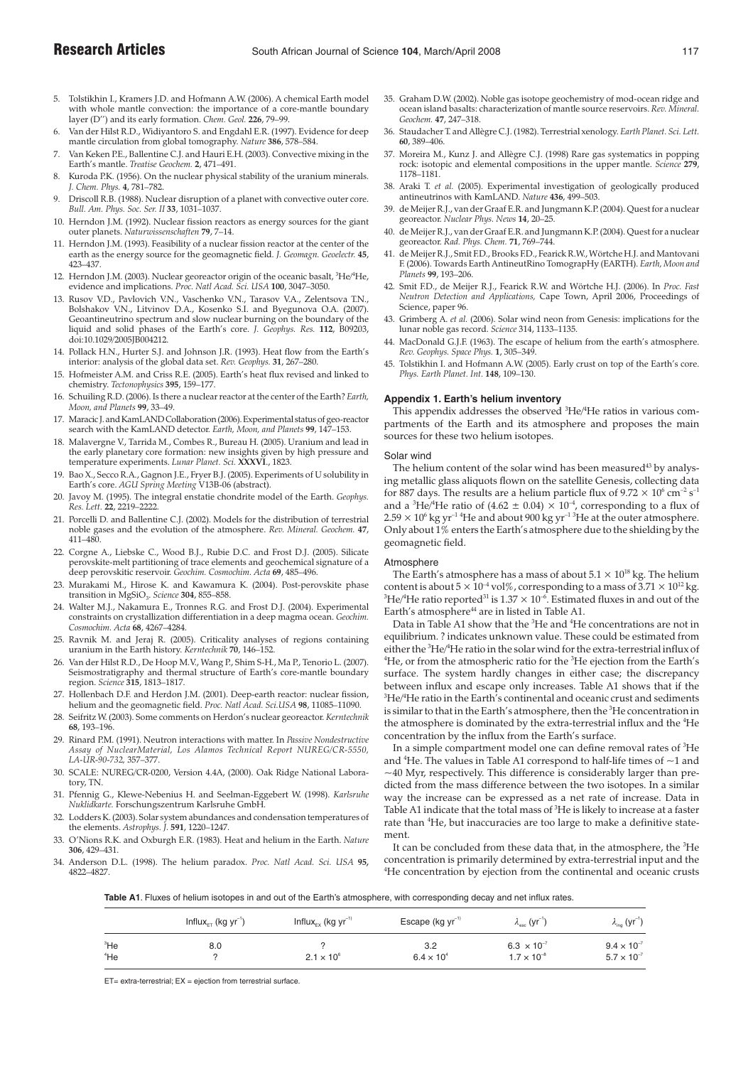- 5. Tolstikhin I., Kramers J.D. and Hofmann A.W. (2006). A chemical Earth model with whole mantle convection: the importance of a core-mantle boundary layer (D'') and its early formation. *Chem. Geol.* **226**, 79–99.
- 6. Van der Hilst R.D., Widiyantoro S. and Engdahl E.R. (1997). Evidence for deep mantle circulation from global tomography. *Nature* **386**, 578–584.
- 7. Van Keken P.E., Ballentine C.J. and Hauri E.H. (2003). Convective mixing in the Earth's mantle. *Treatise Geochem.* **2**, 471–491.
- Kuroda P.K. (1956). On the nuclear physical stability of the uranium minerals. *J. Chem. Phys.* **4**, 781–782.
- 9. Driscoll R.B. (1988). Nuclear disruption of a planet with convective outer core. *Bull. Am. Phys. Soc. Ser. II* **33**, 1031–1037.
- 10. Herndon J.M. (1992). Nuclear fission reactors as energy sources for the giant outer planets. *Naturwissenschaften* **79**, 7–14.
- 11. Herndon J.M. (1993). Feasibility of a nuclear fission reactor at the center of the earth as the energy source for the geomagnetic field. *J. Geomagn. Geoelectr.* **45**, 423–437.
- 12. Herndon J.M. (2003). Nuclear georeactor origin of the oceanic basalt, <sup>3</sup>He/<sup>4</sup>He, evidence and implications. *Proc. Natl Acad. Sci. USA* **100**, 3047–3050.
- 13. Rusov V.D., Pavlovich V.N., Vaschenko V.N., Tarasov V.A., Zelentsova T.N., Bolshakov V.N., Litvinov D.A., Kosenko S.I. and Byegunova O.A. (2007). Geoantineutrino spectrum and slow nuclear burning on the boundary of the liquid and solid phases of the Earth's core. *J. Geophys. Res.* **112**, B09203, doi:10.1029/2005JB004212.
- 14. Pollack H.N., Hurter S.J. and Johnson J.R. (1993). Heat flow from the Earth's interior: analysis of the global data set. *Rev. Geophys.* **31**, 267–280.
- 15. Hofmeister A.M. and Criss R.E. (2005). Earth's heat flux revised and linked to chemistry. *Tectonophysics* **395**, 159–177.
- 16. Schuiling R.D. (2006). Is there a nuclear reactor at the center of the Earth? *Earth, Moon, and Planets* **99**, 33–49.
- 17. Maracic J. and KamLAND Collaboration (2006). Experimental status of geo-reactor search with the KamLAND detector. *Earth, Moon, and Planets* **99**, 147–153.
- 18. Malavergne V., Tarrida M., Combes R., Bureau H. (2005). Uranium and lead in the early planetary core formation: new insights given by high pressure and temperature experiments. *Lunar Planet. Sci.* **XXXVI**., 1823.
- 19. Bao X., Secco R.A., Gagnon J.E., Fryer B.J. (2005). Experiments of U solubility in Earth's core. *AGU Spring Meeting* V13B-06 (abstract).
- 20. Javoy M. (1995). The integral enstatie chondrite model of the Earth. *Geophys. Res. Lett.* **22**, 2219–2222.
- 21. Porcelli D. and Ballentine C.J. (2002). Models for the distribution of terrestrial noble gases and the evolution of the atmosphere. *Rev. Mineral. Geochem.* **47**, 411–480.
- 22. Corgne A., Liebske C., Wood B.J., Rubie D.C. and Frost D.J. (2005). Silicate perovskite-melt partitioning of trace elements and geochemical signature of a deep perovskitic reservoir. *Geochim. Cosmochim. Acta* **69**, 485–496.
- 23. Murakami M., Hirose K. and Kawamura K. (2004). Post-perovskite phase transition in MgSiO<sub>3</sub>. Science 304, 855-858.
- 24. Walter M.J., Nakamura E., Tronnes R.G. and Frost D.J. (2004). Experimental constraints on crystallization differentiation in a deep magma ocean. *Geochim. Cosmochim. Acta* **68**, 4267–4284.
- 25. Ravnik M. and Jeraj R. (2005). Criticality analyses of regions containing uranium in the Earth history. *Kerntechnik* **70**, 146–152.
- 26. Van der Hilst R.D., De Hoop M.V., Wang P., Shim S-H., Ma P., Tenorio L. (2007). Seismostratigraphy and thermal structure of Earth's core-mantle boundary region. *Science* **315**, 1813–1817.
- 27. Hollenbach D.F. and Herdon J.M. (2001). Deep-earth reactor: nuclear fission, helium and the geomagnetic field. *Proc. Natl Acad. Sci.USA* **98**, 11085–11090.
- 28. Seifritz W. (2003). Some comments on Herdon's nuclear georeactor. *Kerntechnik* **68**, 193–196.
- 29. Rinard P.M. (1991). Neutron interactions with matter. In *Passive Nondestructive Assay of NuclearMaterial, Los Alamos Technical Report NUREG/CR-5550, LA-UR-90-732,* 357–377.
- 30. SCALE: NUREG/CR-0200, Version 4.4A, (2000). Oak Ridge National Laboratory, TN.
- 31. Pfennig G., Klewe-Nebenius H. and Seelman-Eggebert W. (1998). *Karlsruhe Nuklidkarte.* Forschungszentrum Karlsruhe GmbH.
- 32. Lodders K. (2003). Solar system abundances and condensation temperatures of the elements. *Astrophys. J.* **591**, 1220–1247.
- 33. O'Nions R.K. and Oxburgh E.R. (1983). Heat and helium in the Earth. *Nature* **306**, 429–431.
- 34. Anderson D.L. (1998). The helium paradox. *Proc. Natl Acad. Sci. USA* **95,** 4822–4827.
- 35. Graham D.W. (2002). Noble gas isotope geochemistry of mod-ocean ridge and ocean island basalts: characterization of mantle source reservoirs. *Rev. Mineral. Geochem.* **47**, 247–318.
- 36. Staudacher T. and Allègre C.J. (1982). Terrestrial xenology. *Earth Planet. Sci. Lett.* **60**, 389–406.
- 37. Moreira M., Kunz J. and Allègre C.J. (1998) Rare gas systematics in popping rock: isotopic and elemental compositions in the upper mantle. *Science* **279**, 1178–1181.
- 38. Araki T. *et al.* (2005). Experimental investigation of geologically produced antineutrinos with KamLAND. *Nature* **436**, 499–503.
- 39. de Meijer R.J., van der Graaf E.R. and Jungmann K.P. (2004). Quest for a nuclear georeactor. *Nuclear Phys. News* **14**, 20–25.
- 40. de Meijer R.J., van der Graaf E.R. and Jungmann K.P. (2004). Quest for a nuclear georeactor. *Rad. Phys. Chem.* **71**, 769–744.
- 41. de Meijer R.J., Smit F.D., Brooks F.D., Fearick R.W., Wörtche H.J. and Mantovani F. (2006). Towards Earth AntineutRino TomograpHy (EARTH). *Earth, Moon and Planets* **99**, 193–206.
- 42. Smit F.D., de Meijer R.J., Fearick R.W. and Wörtche H.J. (2006). In *Proc. Fast Neutron Detection and Applications,* Cape Town, April 2006, Proceedings of Science, paper 96.
- 43. Grimberg A. *et al.* (2006). Solar wind neon from Genesis: implications for the lunar noble gas record. *Science* 314, 1133–1135.
- 44. MacDonald G.J.F. (1963). The escape of helium from the earth's atmosphere. *Rev. Geophys. Space Phys.* **1**, 305–349.
- 45. Tolstikhin I. and Hofmann A.W. (2005). Early crust on top of the Earth's core. *Phys. Earth Planet. Int.* **148**, 109–130.

# **Appendix 1. Earth's helium inventory**

This appendix addresses the observed <sup>3</sup>He/<sup>4</sup>He ratios in various compartments of the Earth and its atmosphere and proposes the main sources for these two helium isotopes.

#### Solar wind

The helium content of the solar wind has been measured $43$  by analysing metallic glass aliquots flown on the satellite Genesis, collecting data for 887 days. The results are a helium particle flux of  $9.72 \times 10^6$  cm<sup>-2</sup> s<sup>-1</sup> and a <sup>3</sup>He/<sup>4</sup>He ratio of (4.62  $\pm$  0.04)  $\times$  10<sup>-4</sup>, corresponding to a flux of  $2.59 \times 10^6$  kg yr<sup>-1 4</sup>He and about 900 kg yr<sup>-13</sup>He at the outer atmosphere. Only about 1% enters the Earth's atmosphere due to the shielding by the geomagnetic field.

## **Atmosphere**

The Earth's atmosphere has a mass of about  $5.1 \times 10^{18}$  kg. The helium content is about  $5 \times 10^{-4}$  vol%, corresponding to a mass of  $3.71 \times 10^{12}$  kg.  $^3{\rm He}/^4{\rm He}$  ratio reported $^{31}$  is  $1.37\times 10^{-6}.$  Estimated fluxes in and out of the Earth's atmosphere<sup>44</sup> are in listed in Table A1.

Data in Table A1 show that the <sup>3</sup>He and <sup>4</sup>He concentrations are not in equilibrium. ? indicates unknown value. These could be estimated from either the <sup>3</sup>He/<sup>4</sup>He ratio in the solar wind for the extra-terrestrial influx of  ${}^{4}$ He, or from the atmospheric ratio for the  ${}^{3}$ He ejection from the Earth's surface. The system hardly changes in either case; the discrepancy between influx and escape only increases. Table A1 shows that if the  ${}^3{\rm He} / {}^4{\rm He}$  ratio in the Earth's continental and oceanic crust and sediments is similar to that in the Earth's atmosphere, then the <sup>3</sup>He concentration in the atmosphere is dominated by the extra-terrestrial influx and the  $^4\rm{He}$ concentration by the influx from the Earth's surface.

In a simple compartment model one can define removal rates of <sup>3</sup>He and  ${}^{4}$ He. The values in Table A1 correspond to half-life times of  $\sim$ 1 and  $\sim$ 40 Myr, respectively. This difference is considerably larger than predicted from the mass difference between the two isotopes. In a similar way the increase can be expressed as a net rate of increase. Data in Table A1 indicate that the total mass of  ${}^{3}\text{He}$  is likely to increase at a faster rate than <sup>4</sup>He, but inaccuracies are too large to make a definitive statement.

It can be concluded from these data that, in the atmosphere, the <sup>3</sup>He concentration is primarily determined by extra-terrestrial input and the <sup>4</sup>He concentration by ejection from the continental and oceanic crusts

**Table A1**. Fluxes of helium isotopes in and out of the Earth's atmosphere, with corresponding decay and net influx rates.

|                           | Influx <sub>ET</sub> (kg $yr^{-1}$ ) | Influx <sub>Ex</sub> (kg $yr^{-1}$ ) | Escape ( $kg yr^{-1}$ )    | $\lambda_{\text{esc}}$ (yr <sup>-1</sup> )   | $\lambda_{\text{inc}}$ (yr <sup>-1</sup>     |
|---------------------------|--------------------------------------|--------------------------------------|----------------------------|----------------------------------------------|----------------------------------------------|
| <sup>3</sup> He<br>$4$ He | 8.0                                  | $2.1 \times 10^{6}$                  | 3.2<br>$6.4 \times 10^{4}$ | $6.3 \times 10^{-7}$<br>$1.7 \times 10^{-8}$ | $9.4 \times 10^{-7}$<br>$5.7 \times 10^{-7}$ |

 $ET =$  extra-terrestrial:  $EX =$  ejection from terrestrial surface.